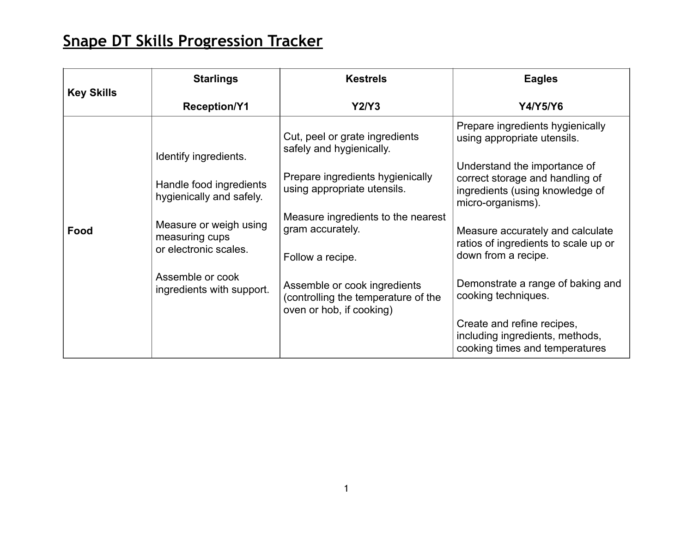## **Snape DT Skills Progression Tracker**

| <b>Key Skills</b> | <b>Starlings</b>                                                  | <b>Kestrels</b>                                                                                 | <b>Eagles</b>                                                                                                           |
|-------------------|-------------------------------------------------------------------|-------------------------------------------------------------------------------------------------|-------------------------------------------------------------------------------------------------------------------------|
|                   | <b>Reception/Y1</b>                                               | Y2/Y3                                                                                           | Y4/Y5/Y6                                                                                                                |
| Food              | Identify ingredients.                                             | Cut, peel or grate ingredients<br>safely and hygienically.                                      | Prepare ingredients hygienically<br>using appropriate utensils.                                                         |
|                   | Handle food ingredients<br>hygienically and safely.               | Prepare ingredients hygienically<br>using appropriate utensils.                                 | Understand the importance of<br>correct storage and handling of<br>ingredients (using knowledge of<br>micro-organisms). |
|                   | Measure or weigh using<br>measuring cups<br>or electronic scales. | Measure ingredients to the nearest<br>gram accurately.<br>Follow a recipe.                      | Measure accurately and calculate<br>ratios of ingredients to scale up or<br>down from a recipe.                         |
|                   | Assemble or cook<br>ingredients with support.                     | Assemble or cook ingredients<br>(controlling the temperature of the<br>oven or hob, if cooking) | Demonstrate a range of baking and<br>cooking techniques.                                                                |
|                   |                                                                   |                                                                                                 | Create and refine recipes,<br>including ingredients, methods,<br>cooking times and temperatures                         |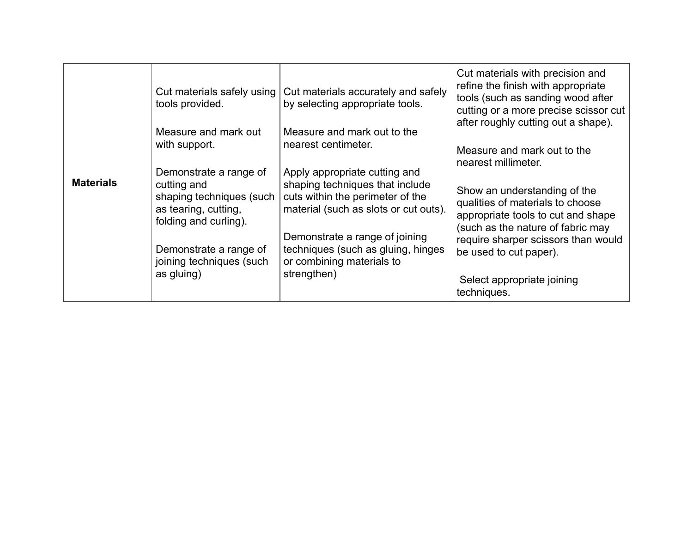| <b>Materials</b> | Cut materials safely using<br>tools provided.<br>Measure and mark out<br>with support.<br>Demonstrate a range of<br>cutting and<br>shaping techniques (such<br>as tearing, cutting,<br>folding and curling).<br>Demonstrate a range of<br>joining techniques (such<br>as gluing) | Cut materials accurately and safely<br>by selecting appropriate tools.<br>Measure and mark out to the<br>nearest centimeter.<br>Apply appropriate cutting and<br>shaping techniques that include<br>cuts within the perimeter of the<br>material (such as slots or cut outs).<br>Demonstrate a range of joining<br>techniques (such as gluing, hinges<br>or combining materials to<br>strengthen) | Cut materials with precision and<br>refine the finish with appropriate<br>tools (such as sanding wood after<br>cutting or a more precise scissor cut<br>after roughly cutting out a shape).<br>Measure and mark out to the<br>nearest millimeter.<br>Show an understanding of the<br>qualities of materials to choose<br>appropriate tools to cut and shape<br>(such as the nature of fabric may<br>require sharper scissors than would<br>be used to cut paper).<br>Select appropriate joining<br>techniques. |
|------------------|----------------------------------------------------------------------------------------------------------------------------------------------------------------------------------------------------------------------------------------------------------------------------------|---------------------------------------------------------------------------------------------------------------------------------------------------------------------------------------------------------------------------------------------------------------------------------------------------------------------------------------------------------------------------------------------------|----------------------------------------------------------------------------------------------------------------------------------------------------------------------------------------------------------------------------------------------------------------------------------------------------------------------------------------------------------------------------------------------------------------------------------------------------------------------------------------------------------------|
|------------------|----------------------------------------------------------------------------------------------------------------------------------------------------------------------------------------------------------------------------------------------------------------------------------|---------------------------------------------------------------------------------------------------------------------------------------------------------------------------------------------------------------------------------------------------------------------------------------------------------------------------------------------------------------------------------------------------|----------------------------------------------------------------------------------------------------------------------------------------------------------------------------------------------------------------------------------------------------------------------------------------------------------------------------------------------------------------------------------------------------------------------------------------------------------------------------------------------------------------|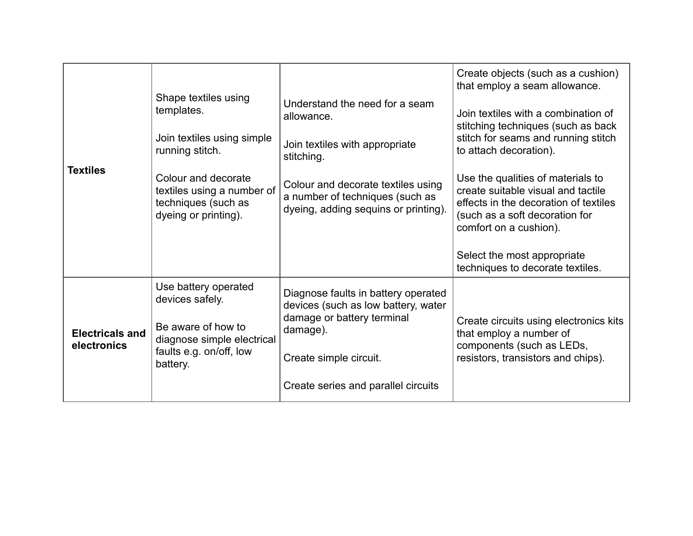| <b>Textiles</b>                       | Shape textiles using<br>templates.<br>Join textiles using simple<br>running stitch.<br>Colour and decorate<br>textiles using a number of<br>techniques (such as<br>dyeing or printing). | Understand the need for a seam<br>allowance.<br>Join textiles with appropriate<br>stitching.<br>Colour and decorate textiles using<br>a number of techniques (such as<br>dyeing, adding sequins or printing). | Create objects (such as a cushion)<br>that employ a seam allowance.<br>Join textiles with a combination of<br>stitching techniques (such as back<br>stitch for seams and running stitch<br>to attach decoration).<br>Use the qualities of materials to<br>create suitable visual and tactile<br>effects in the decoration of textiles<br>(such as a soft decoration for<br>comfort on a cushion).<br>Select the most appropriate<br>techniques to decorate textiles. |
|---------------------------------------|-----------------------------------------------------------------------------------------------------------------------------------------------------------------------------------------|---------------------------------------------------------------------------------------------------------------------------------------------------------------------------------------------------------------|----------------------------------------------------------------------------------------------------------------------------------------------------------------------------------------------------------------------------------------------------------------------------------------------------------------------------------------------------------------------------------------------------------------------------------------------------------------------|
| <b>Electricals and</b><br>electronics | Use battery operated<br>devices safely.<br>Be aware of how to<br>diagnose simple electrical<br>faults e.g. on/off, low<br>battery.                                                      | Diagnose faults in battery operated<br>devices (such as low battery, water<br>damage or battery terminal<br>damage).<br>Create simple circuit.<br>Create series and parallel circuits                         | Create circuits using electronics kits<br>that employ a number of<br>components (such as LEDs,<br>resistors, transistors and chips).                                                                                                                                                                                                                                                                                                                                 |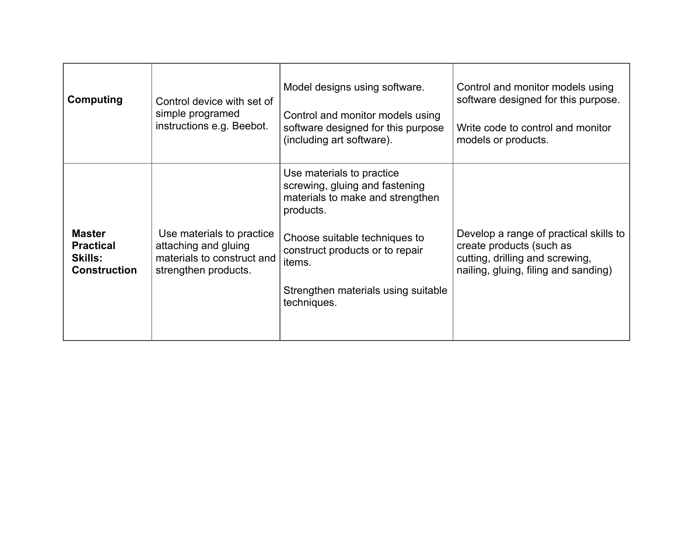| Computing                                                                  | Control device with set of<br>simple programed<br>instructions e.g. Beebot.                             | Model designs using software.<br>Control and monitor models using<br>software designed for this purpose<br>(including art software).                                                                                                             | Control and monitor models using<br>software designed for this purpose.<br>Write code to control and monitor<br>models or products.           |
|----------------------------------------------------------------------------|---------------------------------------------------------------------------------------------------------|--------------------------------------------------------------------------------------------------------------------------------------------------------------------------------------------------------------------------------------------------|-----------------------------------------------------------------------------------------------------------------------------------------------|
| <b>Master</b><br><b>Practical</b><br><b>Skills:</b><br><b>Construction</b> | Use materials to practice<br>attaching and gluing<br>materials to construct and<br>strengthen products. | Use materials to practice<br>screwing, gluing and fastening<br>materials to make and strengthen<br>products.<br>Choose suitable techniques to<br>construct products or to repair<br>items.<br>Strengthen materials using suitable<br>techniques. | Develop a range of practical skills to<br>create products (such as<br>cutting, drilling and screwing,<br>nailing, gluing, filing and sanding) |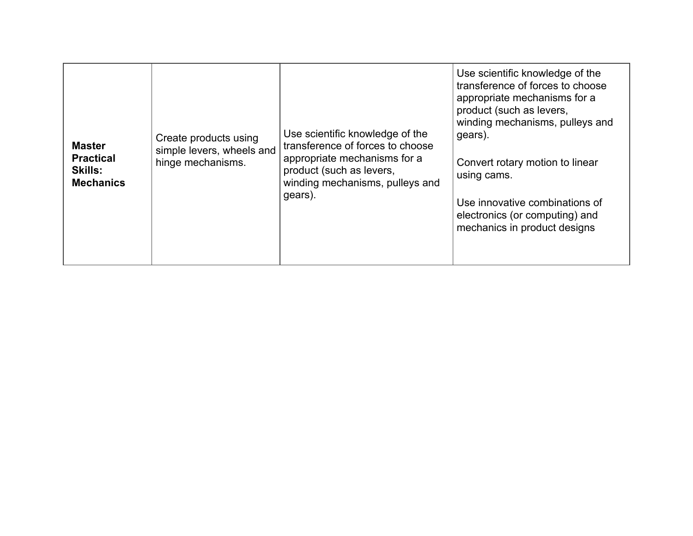| <b>Master</b><br><b>Practical</b><br><b>Skills:</b><br><b>Mechanics</b> | Create products using<br>simple levers, wheels and<br>hinge mechanisms. | Use scientific knowledge of the<br>transference of forces to choose<br>appropriate mechanisms for a<br>product (such as levers,<br>winding mechanisms, pulleys and<br>gears). | Use scientific knowledge of the<br>transference of forces to choose<br>appropriate mechanisms for a<br>product (such as levers,<br>winding mechanisms, pulleys and<br>gears).<br>Convert rotary motion to linear<br>using cams.<br>Use innovative combinations of<br>electronics (or computing) and<br>mechanics in product designs |
|-------------------------------------------------------------------------|-------------------------------------------------------------------------|-------------------------------------------------------------------------------------------------------------------------------------------------------------------------------|-------------------------------------------------------------------------------------------------------------------------------------------------------------------------------------------------------------------------------------------------------------------------------------------------------------------------------------|
|-------------------------------------------------------------------------|-------------------------------------------------------------------------|-------------------------------------------------------------------------------------------------------------------------------------------------------------------------------|-------------------------------------------------------------------------------------------------------------------------------------------------------------------------------------------------------------------------------------------------------------------------------------------------------------------------------------|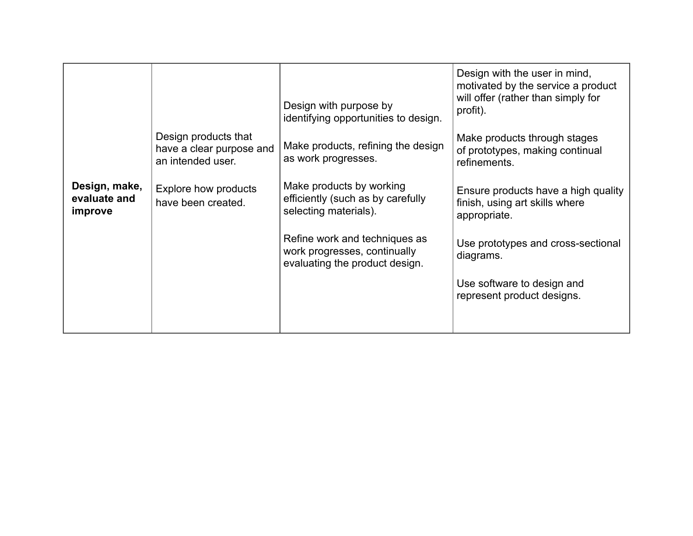|                                          |                                                                       | Design with purpose by<br>identifying opportunities to design.                                  | Design with the user in mind,<br>motivated by the service a product<br>will offer (rather than simply for<br>profit). |
|------------------------------------------|-----------------------------------------------------------------------|-------------------------------------------------------------------------------------------------|-----------------------------------------------------------------------------------------------------------------------|
|                                          | Design products that<br>have a clear purpose and<br>an intended user. | Make products, refining the design<br>as work progresses.                                       | Make products through stages<br>of prototypes, making continual<br>refinements.                                       |
| Design, make,<br>evaluate and<br>improve | Explore how products<br>have been created.                            | Make products by working<br>efficiently (such as by carefully<br>selecting materials).          | Ensure products have a high quality<br>finish, using art skills where<br>appropriate.                                 |
|                                          |                                                                       | Refine work and techniques as<br>work progresses, continually<br>evaluating the product design. | Use prototypes and cross-sectional<br>diagrams.                                                                       |
|                                          |                                                                       |                                                                                                 | Use software to design and<br>represent product designs.                                                              |
|                                          |                                                                       |                                                                                                 |                                                                                                                       |